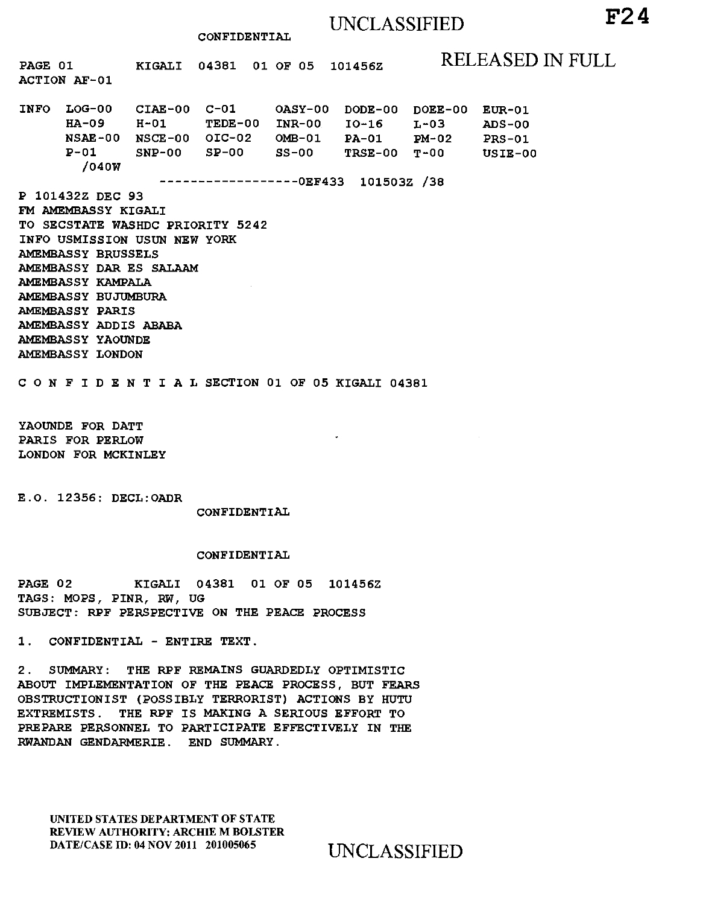# UNCLASSIFIED **F24**

CONFIDENTIAL

PAGE 01 ACTION AF-01 KIGALI 04381 01 OF 05 101456Z RELEASED IN FULL INFO LOG-00 CIAE-00 C-Ol OASY-00 DODE-00 DOEE-00 EUR-01 HA-09 H-01 TEDE-00 INR-00 IO-16 L-03<br>NSAE-00 NSCE-00 OIC-02 OMB-01 PA-01 PM-02 NSAE-00 NSCE-00 OIC-02 OMB-01 PA-01 PM-02 TRSE-00 T-00 /040W ------------------OEF433 l01503Z /38 P 101432Z DEC 93 FM AMEMBASSY KIGALI TO SECSTATE WASHDC PRIORITY 5242 INFO USMISSION USUN NEW YORK AMEMBASSY BRUSSELS AMEMBASSY DAR ES SALAAM AMEMBASSY KAMPALA AMEMBASSY BUJUMBURA AMEMBASSY PARIS AMEMBASSY ADDIS ABABA AMEMBASSY YAOUNDE AMEMBASSY LONDON C 0 N F I D E N T I A L SECTION 01 OF 05 KIGALI 04381 ADS-00 PRS-01 USIE-00

YAOUNDE FOR DATT PARIS FOR PERLOW LONDON FOR MCKINLEY

E.O. 12356: DECL:OADR

CONFIDENTIAL

#### CONFIDENTIAL

PAGE 02 KIGALI 04381 01 OF 05 101456Z TAGS: MOPS, PINR, RW, UG SUBJECT: RPF PERSPECTIVE ON THE PEACE PROCESS

1. CONFIDENTIAL -ENTIRE TEXT.

2 . SUMMARY: THE RPF REMAINS GUARDEDLY OPTIMISTIC ABOUT IMPLEMENTATION OF THE PEACE PROCESS, BUT FEARS OBSTRUCTIONIST (POSSIBLY TERRORIST) ACTIONS BY HUTU EXTREMISTS. THE RPF IS MAKING A SERIOUS EFFORT TO PREPARE PERSONNEL TO PARTICIPATE EFFECTIVELY IN THE RWANDAN GENDARMERIE. END SUMMARY.

UNITED STATES DEPARTMENT OF STATE REVIEW AUTHORITY: ARCHIE M BOLSTER DATE/CASE ID: 04 NOV 2011 201005065 UNCLASSIFIED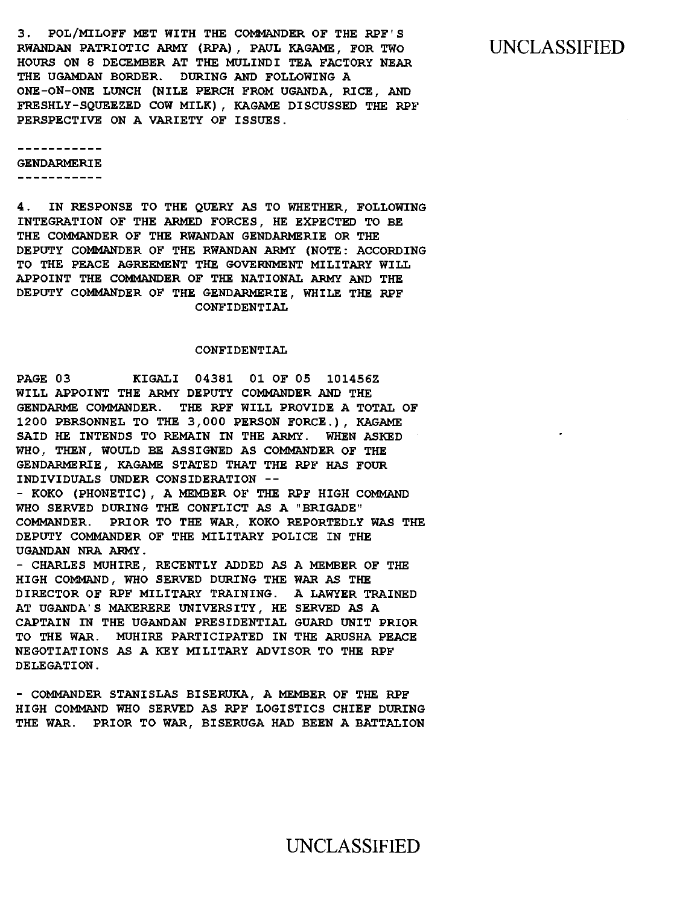3. POL/MILOFF MET WITH THE COMMANDER OF THE RPF'S RWANDAN PATRIOTIC ARMY (RPA) , PAUL KAGAME, FOR TWO HOURS ON 8 DECEMBER AT THE MULINDI TEA FACTORY NEAR THE UGAMDAN BORDER. DURING AND FOLLOWING A ONE-ON-ONE LUNCH (NILE PERCH FROM UGANDA, RICE, AND FRESHLY-SQUEEZED COW MILK) , KAGAME DISCUSSED THE RPF PERSPECTIVE ON A VARIETY OF ISSUES.

GENDARMERIE

-----------

DELEGATION.

4. IN RESPONSE TO THE QUERY AS TO WHETHER, FOLLOWING INTEGRATION OF THE ARMED FORCES, HE EXPECTED TO BE THE COMMANDER OF THE RWANDAN GENDARMERIE OR THE DEPUTY COMMANDER OF THE RWANDAN ARMY (NOTE: ACCORDING TO THE PEACE AGREEMENT THE GOVERNMENT MILITARY WILL APPOINT THE COMMANDER OF THE NATIONAL ARMY AND THE DEPUTY COMMANDER OF THE GENDARMERIE, WHILE THE RPF CONFIDENTIAL

### CONFIDENTIAL

PAGE 03 KIGALI 04381 01 OF 05 101456Z WILL APPOINT THE ARMY DEPUTY COMMANDER AND THE GENDARME COMMANDER. THE RPF WILL PROVIDE A TOTAL OF 1200 PBRSONNEL TO THE 3,000 PERSON FORCE.), KAGAME SAID HE INTENDS TO REMAIN IN THE ARMY. WHEN ASKED WHO, THEN, WOULD BE ASSIGNED AS COMMANDER OF THE GENDARMERIE, KAGAME STATED THAT THE RPF HAS FOUR INDIVIDUALS UNDER CONSIDERATION -- - KOKO (PHONETIC) , A MEMBER OF THE RPF HIGH COMMAND WHO SERVED DURING THE CONFLICT AS A "BRIGADE" COMMANDER. PRIOR TO THE WAR, KOKO REPORTEDLY WAS THE DEPUTY COMMANDER OF THE MILITARY POLICE IN THE UGANDAN NRA ARMY . - CHARLES MUHIRE, RECENTLY ADDED AS A MEMBER OF THE HIGH COMMAND, WHO SERVED DURING THE WAR AS THE DIRECTOR OF RPF MILITARY TRAINING. A LAWYER TRAINED AT UGANDA' S MAKERERE UNIVERSITY , HE SERVED AS A CAPTAIN IN THE UGANDAN PRESIDENTIAL GUARD UNIT PRIOR TO THE WAR. MUHIRE PARTICIPATED IN THE ARUSHA PEACE NEGOTIATIONS AS A KEY MILITARY ADVISOR TO THE RPF

- COMMANDER STANISLAS BISERUKA, A MEMBER OF THE RPF HIGH COMMAND WHO SERVED AS RPF LOGISTICS CHIEF DURING THE WAR. PRIOR TO WAR, BISERUGA HAD BEEN A BATTALION

### UNCLASSIFIED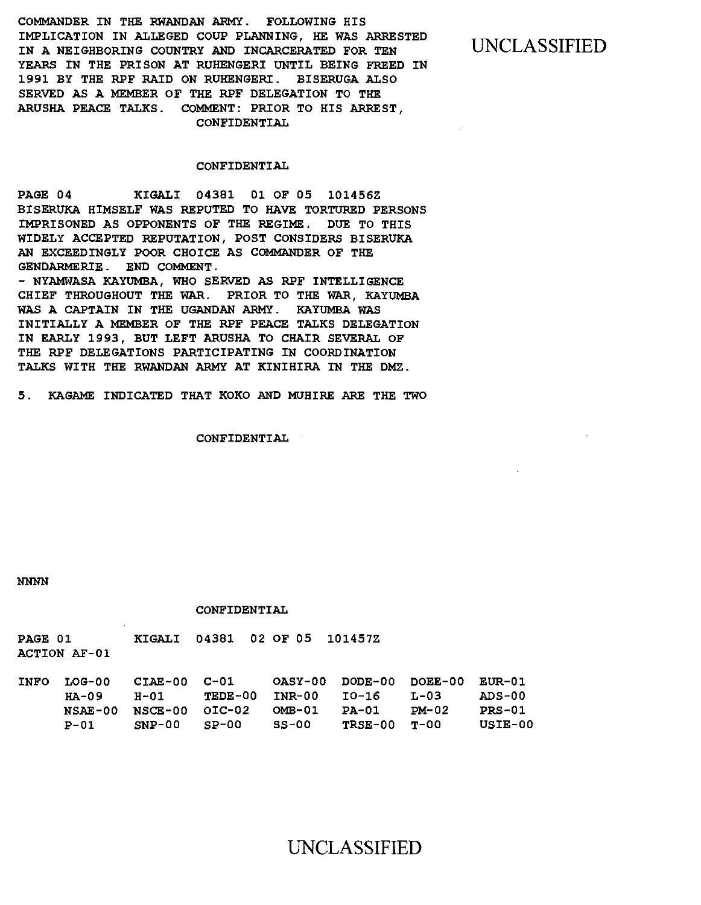COMMANDER IN THE RWANDAN ARMY. FOLLOWING HIS IMPLICATION IN ALLEGED COUP PLANNING, HE WAS ARRESTED IN A NEIGHBORING COUNTRY AND INCARCERATED FOR TEN YEARS IN THE PRISON AT RUHENGERI UNTIL BEING FREED IN 1991 BY THE RPF RAID ON RUHENGERI. BISERUGA ALSO SERVED AS A MEMBER OF THE RPF DELEGATION TO THE ARUSHA PEACE TALKS. COMMENT: PRIOR TO HIS ARREST, CONFIDENTIAL

### UNCLASSIFIED

### CONFIDENTIAL

PAGE 04 KIGALI 04381 01 OF 05 101456Z BISERUKA HIMSELF WAS REPUTED TO HAVE TORTURED PERSONS IMPRISONED AS OPPONENTS OF THE REGIME. DUE TO THIS WIDELY ACCEPTED REPUTATION, POST CONSIDERS BISERUKA AN EXCEEDINGLY POOR CHOICE AS COMMANDER OF THE GENDARMERIE. END COMMENT.

- NYAMWASA KAYUMBA, WHO SERVED AS RPF INTELLIGENCE CHIEF THROUGHOUT THE WAR. PRIOR TO THE WAR, KAYUMBA WAS A CAPTAIN IN THE UGANDAN ARMY. KAYUMBA WAS INITIALLY A MEMBER OF THE RPF PEACE TALKS DELEGATION IN EARLY 1993, BUT LEFT ARUSHA TO CHAIR SEVERAL OF THE RPF DELEGATIONS PARTICIPATING IN COORDINATION TALKS WITH THE RWANDAN ARMY AT KINIHIRA IN THE DMZ.

5. KAGAME INDICATED THAT KOKO AND MUHIRE ARE THE TWO

CONFIDENTIAL

NNNN

#### CONFIDENTIAL

PAGE 01 KIGALI 04381 02 OF OS 101457Z ACTION AF-01

| INFO LOG-00 | CIAE-00 C-01                                  |                           |         |              | OASY-00 DODE-00 DOEE-00 EUR-01 |         |
|-------------|-----------------------------------------------|---------------------------|---------|--------------|--------------------------------|---------|
| HA-09       |                                               | H-01 TEDE-00 INR-00 IO-16 |         |              | T-03                           | -ADS-00 |
|             | $NSAE-00$ $NSCE-00$ $OIC-02$ $OMB-01$ $PA-01$ |                           |         |              | PM-02                          | PRS-01  |
| <b>P-01</b> | $SNP-00$ $S_P-00$                             |                           | - SS-00 | TRSE-00 T-00 |                                | USIE-00 |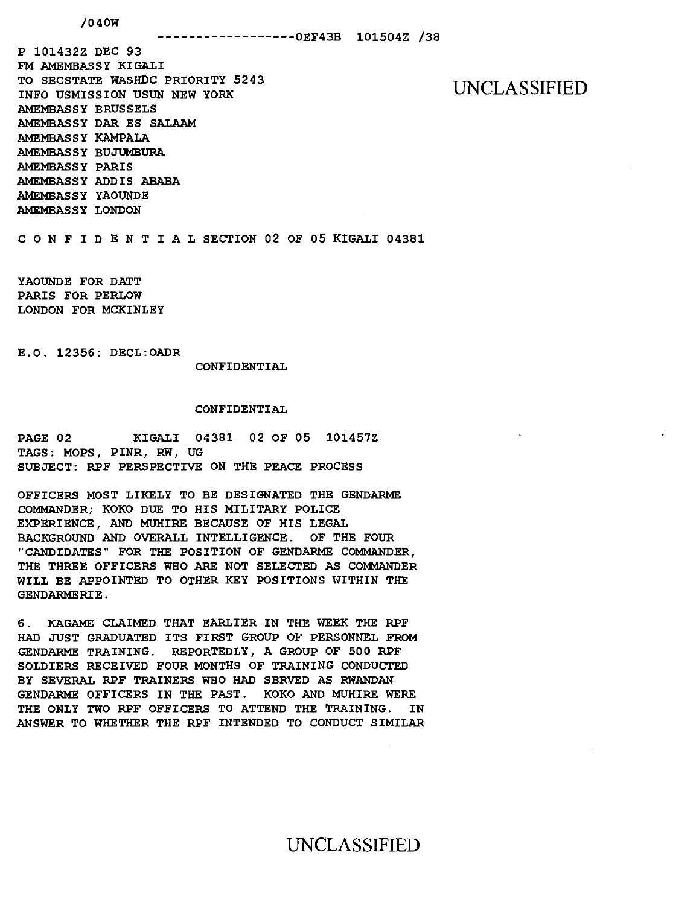### /040W

P 101432Z DEC 93 FM AMEMBASSY KIGALI TO SECSTATE WASHDC PRIORITY 5243 INFO USMISSION USUN NEW YORK AMEMBASSY BRUSSELS AMEMBASSY DAR ES SALAAM AMEMBASSY KAMPALA AMEMBASSY BUJUMBURA AMEMBASSY PARIS AMEMBASSY ADDIS ABABA AMEMBASSY YAOUNDE AMEMBASSY LONDON

UNCLASSIFIED

C 0 N F I D E N T I A L SECTION 02 OF 05 KIGALI 04381

YAOUNDE FOR DATT PARIS FOR PERLOW LONDON FOR MCKINLEY

E.O. 12356: DECL:OADR

CONFIDENTIAL

### CONFIDENTIAL

PAGE 02 KIGALI 04381 02 OF 05 101457Z TAGS: MOPS, PINR, RW, UG SUBJECT: RPF PERSPECTIVE ON THE PEACE PROCESS

OFFICERS MOST LIKELY TO BE DESIGNATED THE GENDARME COMMANDER; KOKO DUE TO HIS MILITARY POLICE EXPERIENCE, AND MUHIRE BECAUSE OF HIS LEGAL BACKGROUND AND OVERALL INTELLIGENCE. OF THE FOUR "CANDIDATES" FOR THE POSITION OF GENDARME COMMANDER, THE THREE OFFICERS WHO ARE NOT SELECTED AS COMMANDER WILL BE APPOINTED TO OTHER KEY POSITIONS WITHIN THE GENDARMERIE.

6. KAGAME CLAIMED THAT EARLIER IN THE WEEK THE RPF HAD JUST GRADUATED ITS FIRST GROUP OF PERSONNEL FROM GENDARME TRAINING. REPORTEDLY, A GROUP OF 500 RPF SOLDIERS RECEIVED FOUR MONTHS OF TRAINING CONDUCTED BY SEVERAL RPF TRAINERS WHO HAD SBRVED AS RWANDAN GENDARME OFFICERS IN THE PAST. KOKO AND MUHIRE WERE THE ONLY TWO RPF OFFICERS TO ATTEND THE TRAINING. IN ANSWER TO WHETHER THE RPF INTENDED TO CONDUCT SIMILAR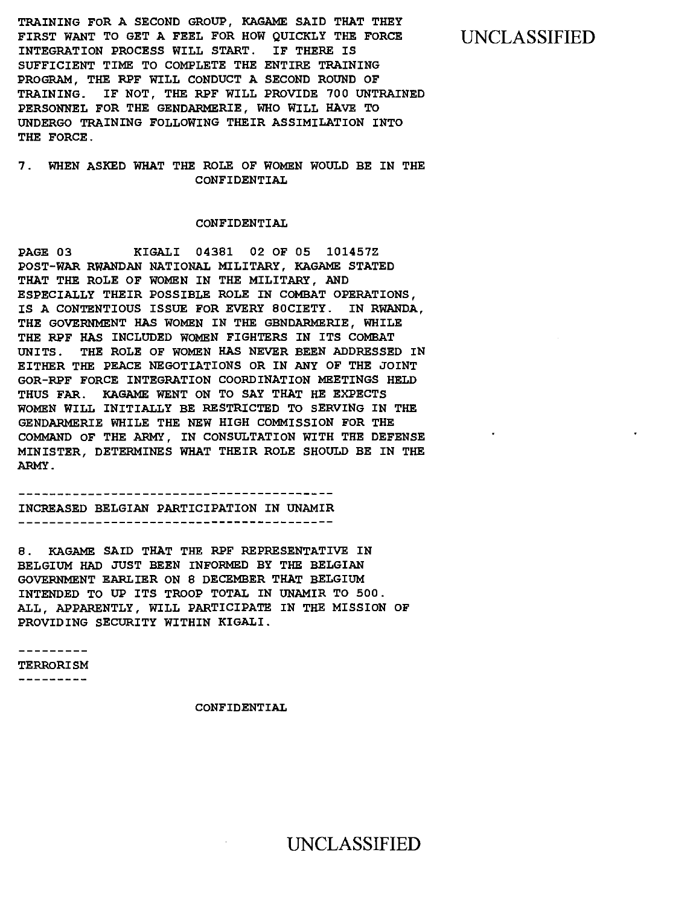TRAINING FOR A SECOND GROUP, KAGAME SAID THAT THEY FIRST WANT TO GET A FEEL FOR HOW QUICKLY THE FORCE INTEGRATION PROCESS WILL START. IF THERE IS SUFFICIENT TIME TO COMPLETE THE ENTIRE TRAINING PROGRAM, THE RPF WILL CONDUCT A SECOND ROUND OF TRAINING. IF NOT, THE RPF WILL PROVIDE 700 UNTRAINED PERSONNEL FOR THE GENDARMERIE, WHO WILL HAVE TO UNDERGO TRAINING FOLLOWING THEIR ASSIMILATION INTO THE FORCE.

### 7 . WHEN ASKED WHAT THE ROLE OF WOMEN WOULD BE IN THE CONFIDENTIAL

#### CONFIDENTIAL

PAGE 03 KIGALI 04381 02 OF 05 101457Z POST-WAR RWANDAN NATIONAL MILITARY, KAGAME STATED THAT THE ROLE OF WOMEN IN THE MILITARY, AND ESPECIALLY THEIR POSSIBLE ROLE IN COMBAT OPERATIONS, IS A CONTENTIOUS ISSUE FOR EVERY SOCIETY. IN RWANDA, THE GOVERNMENT HAS WOMEN IN THE GENDARMERIE, WHILE THE RPF HAS INCLUDED WOMEN FIGHTERS IN ITS COMBAT UNITS. THE ROLE OF WOMEN HAS NEVER BEEN ADDRESSED IN EITHER THE PEACE NEGOTIATIONS OR IN ANY OF THE JOINT GOR-RPF FORCE INTEGRATION COORDINATION MEETINGS HELD THUS FAR. KAGAME WENT ON TO SAY THAT HE EXPECTS WOMEN WILL INITIALLY BE RESTRICTED TO SERVING IN THE GENDARMERIE WHILE THE NEW HIGH COMMISSION FOR THE COMMAND OF THE ARMY, IN CONSULTATION WITH THE DEFENSE MINISTER, DETERMINES WHAT THEIR ROLE SHOULD BE IN THE ARMY.

### INCREASED BELGIAN PARTICIPATION IN UNAMIR

8 . KAGAME SAID THAT THE RPF REPRESENTATIVE IN BELGIUM HAD JUST BEEN INFORMED BY THE BELGIAN GOVERNMENT EARLIER ON 8 DECEMBER THAT BELGIUM INTENDED TO UP ITS TROOP TOTAL IN UNAMIR TO 500. ALL, APPARENTLY, WILL PARTICIPATE IN THE MISSION OF PROVIDING SECURITY WITHIN KIGALI.

- - - - - - - - -TERRORISM

- - - - - - - - - -

CONFIDENTIAL

### UNCLASSIFIED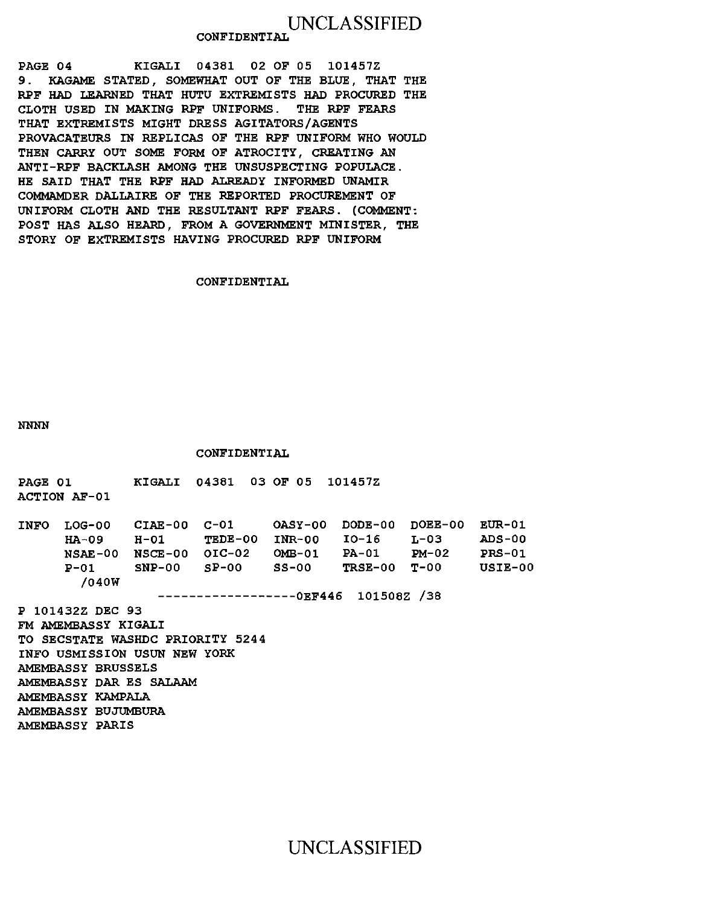### UNCLASSIFIED **CONFIDENTIAL**

PAGE 04 KIGALI 04381 02 OF 05 101457Z 9. KAGAME STATED, SOMEWHAT OUT OF THE BLUE, THAT THE RPF HAD LEARNED THAT HUTU EXTREMISTS HAD PROCURED THE CLOTH USED IN MAKING RPF UNIFORMS. THE RPF FEARS THAT EXTREMISTS MIGHT DRESS AGITATORS/AGENTS PROVACATEURS IN REPLICAS OF THE RPF UNIFORM WHO WOULD THEN CARRY OUT SOME FORM OF ATROCITY, CREATING AN ANTI-RPF BACKLASH AMONG THE UNSUSPECTING POPULACE. HE SAID THAT THE RPF HAD ALREADY INFORMED UNAMIR COMMAMDER DALLAIRE OF THE REPORTED PROCUREMENT OF UNIFORM CLOTH AND THE RESULTANT RPF FEARS. (COMMENT: POST HAS ALSO HEARD, FROM A GOVERNMENT MINISTER, THE STORY OF EXTREMISTS HAVING PROCURED RPF UNIFORM

### CONFIDENTIAL

NNNN

#### CONFIDENTIAL

| <b>PAGE 01</b>      |  | KIGALI 04381 03 OF 05 101457Z |  |
|---------------------|--|-------------------------------|--|
| <b>ACTION AF-01</b> |  |                               |  |

| <b>INFO</b> | LOG-00   | CIAE-00 C-01   |                |        | OASY-00 DODE-00 DOEE-00 |       | EUR-01        |
|-------------|----------|----------------|----------------|--------|-------------------------|-------|---------------|
|             | HA-09    |                | $H-01$ TEDE-00 | INR-00 | IO-16                   | T.-03 | <b>ADS-00</b> |
|             | NSAE-00  | NSCE-00 OIC-02 |                | OMB-01 | <b>PA-01</b>            | PM-02 | $PRS-01$      |
|             | $P - 01$ | $SNP-00$       | $SP-00$        | SS-00  | $TRSE-00$ $T-00$        |       | USIE-00       |
|             | /040W    |                |                |        |                         |       |               |

------------------0EF446 101508Z /38

P 101432Z DEC 93 FM AMEMBASSY KIGALI TO SECSTATE WASHDC PRIORITY 5244 INFO USMISSION USUN NEW YORK AMEMBASSY BRUSSELS AMEMBASSY DAR ES SALAAM AMEMBASSY KAMPALA AMEMBASSY BUJUMBURA AMEMBASSY PARIS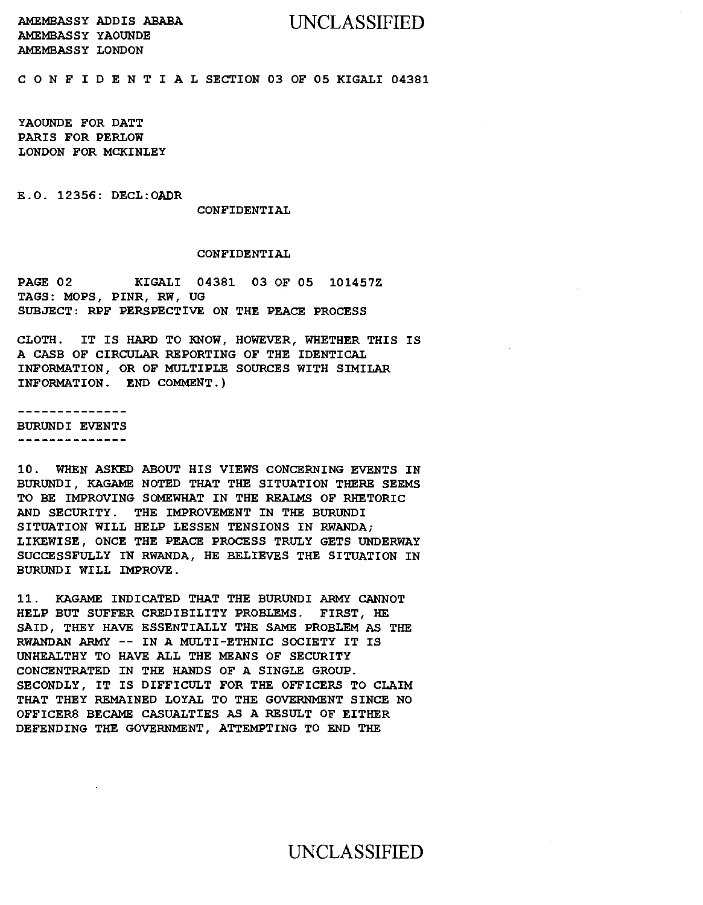### UNCLASSIFIED

AMEMBASSY ADDIS ABABA AMEMBASSY YAOUNDE AMEMBASSY LONDON

C 0 N F I D E N T I A L SECTION 03 OF 05 KIGALI 04381

YAOUNDE FOR DATT PARIS FOR PERLOW LONDON FOR MCKINLEY

E.O. 12356: DECL:OADR

#### CONFIDENTIAL

#### CONFIDENTIAL

PAGE 02 KIGALI 04381 03 OF 05 101457Z TAGS: MOPS, PINR, RW, UG SUBJECT: RPF PERSPECTIVE ON THE PEACE PROCESS

CLOTH. IT IS HARD TO KNOW, HOWEVER, WHETHER THIS IS A CASB OF CIRCULAR REPORTING OF THE IDENTICAL INFORMATION, OR OF MULTIPLE SOURCES WITH SIMILAR INFORMATION. END COMMENT.)

. . . . . . . . . . . . . .

BURUNDI EVENTS -----------------

10. WHEN ASKED ABOUT HIS VIEWS CONCERNING EVENTS IN BURUNDI, KAGAME NOTED THAT THE SITUATION THERE SEEMS TO BE IMPROVING SOMEWHAT IN THE REALMS OF RHETORIC AND SECURITY. THE IMPROVEMENT IN THE BURUNDI SITUATION WILL HELP LESSEN TENSIONS IN RWANDA; LIKEWISE, ONCE THE PEACE PROCESS TRULY GETS UNDERWAY SUCCESSFULLY IN RWANDA, HE BELIEVES THE SITUATION IN BURUNDI WILL IMPROVE.

11. KAGAME INDICATED THAT THE BURUNDI ARMY CANNOT HELP BUT SUFFER CREDIBILITY PROBLEMS. FIRST, HE SAID, THEY HAVE ESSENTIALLY THE SAME PROBLEM AS THE RWANDAN ARMY -- IN A MULTI-ETHNIC SOCIETY IT IS UNHEALTHY TO HAVE ALL THE MEANS OF SECURITY CONCENTRATED IN THE HANDS OF A SINGLE GROUP. SECONDLY, IT IS DIFFICULT FOR THE OFFICERS TO CLAIM THAT THEY REMAINED LOYAL TO THE GOVERNMENT SINCE NO OFFICERS BECAME CASUALTIES AS A RESULT OF EITHER DEFENDING THE GOVERNMENT, ATTEMPTING TO END THE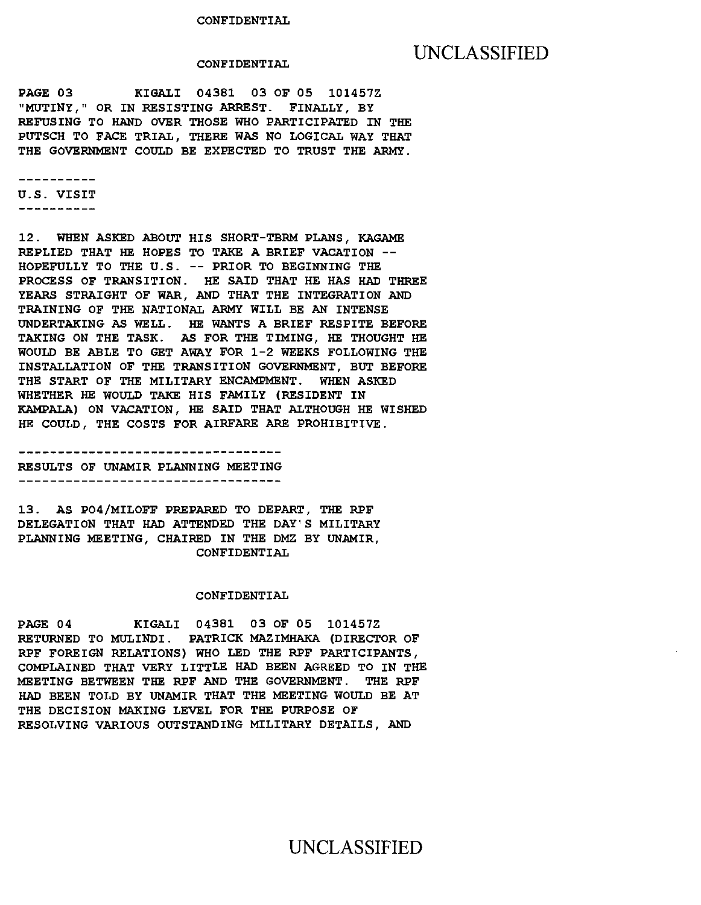### CONFIDENTIAL

### UNCLASSIFIED

PAGE 03 KIGALI 04381 03 OF OS 1014S7Z "MUTINY," OR IN RESISTING ARREST. FINALLY, BY REFUSING TO HAND OVER THOSE WHO PARTICIPATED IN THE PUTSCH TO FACE TRIAL, THERE WAS NO LOGICAL WAY THAT THE GOVERNMENT COULD BE EXPECTED TO TRUST THE ARMY.

\_\_\_\_\_\_\_\_\_\_

U.S. VISIT

-----------

12. WHEN ASKED ABOUT HIS SHORT-TBRM PLANS, KAGAME REPLIED THAT HE HOPES TO TAKE A BRIEF VACATION -- HOPEFULLY TO THE U.S. -- PRIOR TO BEGINNING THE PROCESS OF TRANSITION. HE SAID THAT HE HAS HAD THREE YEARS STRAIGHT OF WAR, AND THAT THE INTEGRATION AND TRAINING OF THE NATIONAL ARMY WILL BE AN INTENSE UNDERTAKING AS WELL. HE WANTS A BRIEF RESPITE BEFORE TAKING ON THE TASK. AS FOR THE TIMING, HE THOUGHT HE WOULD BE ABLE TO GET AWAY FOR 1-2 WEEKS FOLLOWING THE INSTALLATION OF THE TRANSITION GOVERNMENT, BUT BEFORE THE START OF THE MILITARY ENCAMPMENT. WHEN ASKED WHETHER HE WOULD TAKE HIS FAMILY (RESIDENT IN KAMPALA) ON VACATION, HE SAID THAT ALTHOUGH HE WISHED HE COULD, THE COSTS FOR AIRFARE ARE PROHIBITIVE.

RESULTS OF UNAMIR PLANNING MEETING ----------------------------------

13. AS P04/MILOFF PREPARED TO DEPART, THE RPF DELEGATION THAT HAD ATTENDED THE DAY'S MILITARY PLANNING MEETING, CHAIRED IN THE DMZ BY UNAMIR, CONFIDENTIAL

#### CONFIDENTIAL

PAGE 04 KIGALI 04381 03 OF OS 1014S7Z RETURNED TO MULINDI. PATRICK MAZIMHAKA (DIRECTOR OF RPF FOREIGN RELATIONS) WHO LED THE RPF PARTICIPANTS, COMPLAINED THAT VERY LITTLE HAD BEEN AGREED TO IN THE MEETING BETWEEN THE RPF AND THE GOVERNMENT. THE RPF HAD BEEN TOLD BY UNAMIR THAT THE MEETING WOULD BE AT THE DECISION MAKING LEVEL FOR THE PURPOSE OF RESOLVING VARIOUS OUTSTANDING MILITARY DETAILS, AND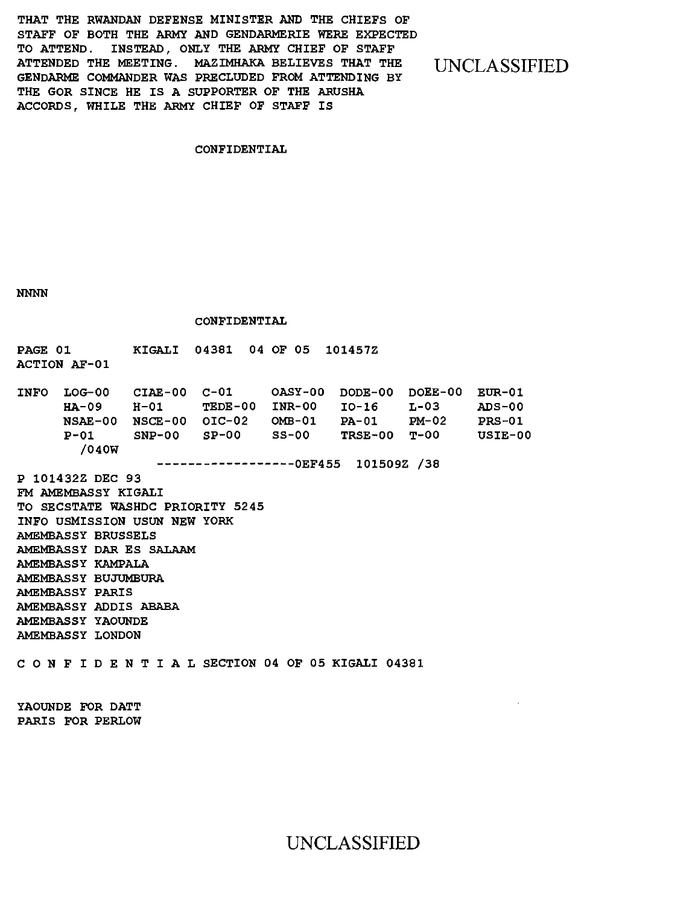THAT THE RWANDAN DEFENSE MINISTER AND THE CHIEFS OF STAFF OF BOTH THE ARMY AND GENDARMERIE WERE EXPECTED TO ATTEND. INSTEAD, ONLY THE ARMY CHIEF OF STAFF ATTENDED THE MEETING. MAZIMHAKA BELIEVES THAT THE GENDARME COMMANDER WAS PRECLUDED FROM ATTENDING BY THE GOR SINCE HE IS A SUPPORTER OF THE ARUSHA ACCORDS, WHILE THE ARMY CHIEF OF STAFF IS

UNCLASSIFIED

### CONFIDENTIAL

NNNN

CONFIDENTIAL

| <b>PAGE 01</b><br><b>ACTION AF-01</b>                                                                                                                                                                                                                                                         |                                                                                                                                   |       |  |  | KIGALI 04381 04 OF 05 101457Z |  |  |  |                              |  |  |  |                                       |
|-----------------------------------------------------------------------------------------------------------------------------------------------------------------------------------------------------------------------------------------------------------------------------------------------|-----------------------------------------------------------------------------------------------------------------------------------|-------|--|--|-------------------------------|--|--|--|------------------------------|--|--|--|---------------------------------------|
| $INFO$ $LOG-00$ $CIAE-00$ $C-01$ $OASY-00$                                                                                                                                                                                                                                                    | HA-09 H-01 TEDE-00 INR-00 IO-16 L-03 ADS-00<br>$NSAE-00$ $NSCE-00$ $OIC-02$ $OMB-01$ $PA-01$ $PM-02$<br>$P-01$ SNP-00 SP-00 SS-00 | /040W |  |  |                               |  |  |  | DODE-00 DOEE-00 EUR-01       |  |  |  | <b>PRS-01</b><br>TRSE-00 T-00 USIE-00 |
| P 101432Z DEC 93<br>FM AMEMBASSY KIGALI<br>TO SECSTATE WASHDC PRIORITY 5245<br>INFO USMISSION USUN NEW YORK<br>AMEMBASSY BRUSSELS<br>AMEMBASSY DAR ES SALAAM<br>AMEMBASSY KAMPALA<br>AMEMBASSY BUJUMBURA<br>AMEMBASSY PARIS<br>AMEMBASSY ADDIS ABABA<br>AMEMRASSY YAOUNDE<br>AMEMBASSY LONDON |                                                                                                                                   |       |  |  |                               |  |  |  | ----------0EF455 101509Z /38 |  |  |  |                                       |
| CONFIDENTIAL SECTION 04 OF 05 KIGALI 04381                                                                                                                                                                                                                                                    |                                                                                                                                   |       |  |  |                               |  |  |  |                              |  |  |  |                                       |

YAOUNDE FOR DATT PARIS FOR PERLOW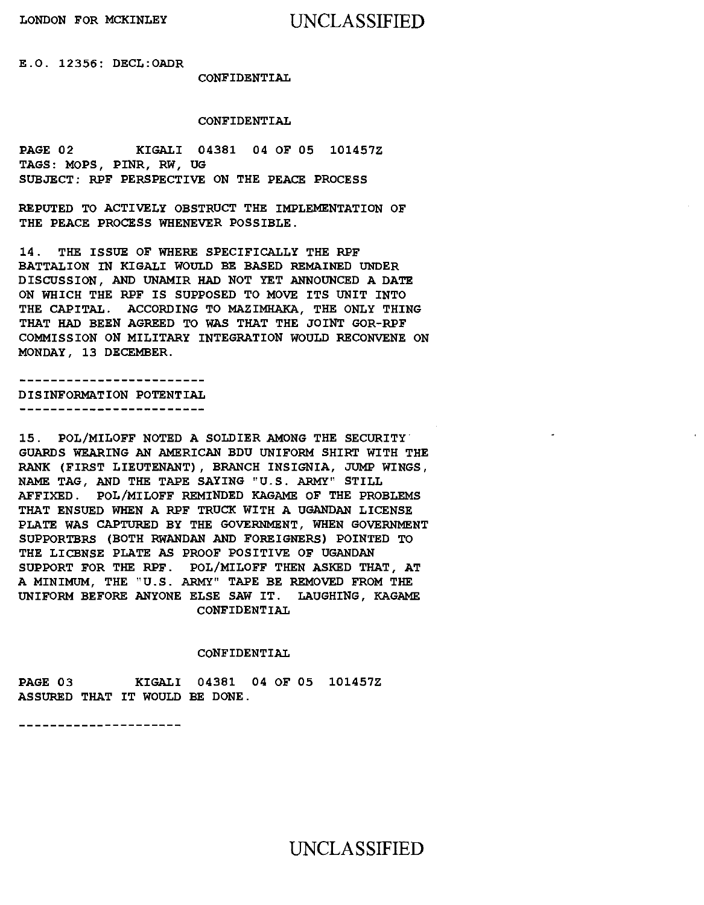E.O. 12356: DECL:OADR

### CONFIDENTIAL

### CONFIDENTIAL

PAGE 02 KIGALI 04381 04 OF 05 101457Z TAGS: MOPS, PINR, RW, UG SUBJECT: RPF PERSPECTIVE ON THE PEACE PROCESS

REPUTED TO ACTIVELY OBSTRUCT THE IMPLEMENTATION OF THE PEACE PROCESS WHENEVER POSSIBLE.

14. THE ISSUE OF WHERE SPECIFICALLY THE RPF BATTALION IN KIGALI WOULD BE BASED REMAINED UNDER DISCUSSION, AND UNAMIR HAD NOT YET ANNOUNCED A DATE ON WHICH THE RPF IS SUPPOSED TO MOVE ITS UNIT INTO THE CAPITAL. ACCORDING TO MAZIMHAKA, THE ONLY THING THAT HAD BEEN AGREED TO WAS THAT THE JOINT GOR-RPF COMMISSION ON MILITARY INTEGRATION WOULD RECONVENE ON MONDAY, 13 DECEMBER.

DISINFORMATION POTENTIAL --------------------------

15. POL/MILOFF NOTED A SOLDIER AMONG THE SECURITY GUARDS WEARING AN AMERICAN BDU UNIFORM SHIRT WITH THE RANK (FIRST LIEUTENANT), BRANCH INSIGNIA, JUMP WINGS, NAME TAG, AND THE TAPE SAYING "U.S. ARMY" STILL AFFIXED. POL/MILOFF REMINDED KAGAME OF THE PROBLEMS THAT ENSUED WHEN A RPF TRUCK WITH A UGANDAN LICENSE PLATE WAS CAPTURED BY THE GOVERNMENT, WHEN GOVERNMENT SUPPORTERS (BOTH RWANDAN AND FOREIGNERS) POINTED TO THE LICENSE PLATE AS PROOF POSITIVE OF UGANDAN SUPPORT FOR THE RPF. POL/MILOFF THEN ASKED THAT, AT A MINIMUM, THE "U. S . ARMY" TAPE BE REMOVED FROM THE UNIFORM BEFORE ANYONE ELSE SAW IT. LAUGHING, KAGAME CONFIDENTIAL

### CONFIDENTIAL

PAGE 03 KIGALI 04381 04 OF 05 101457Z ASSURED THAT IT WOULD BE DONE.

---------------------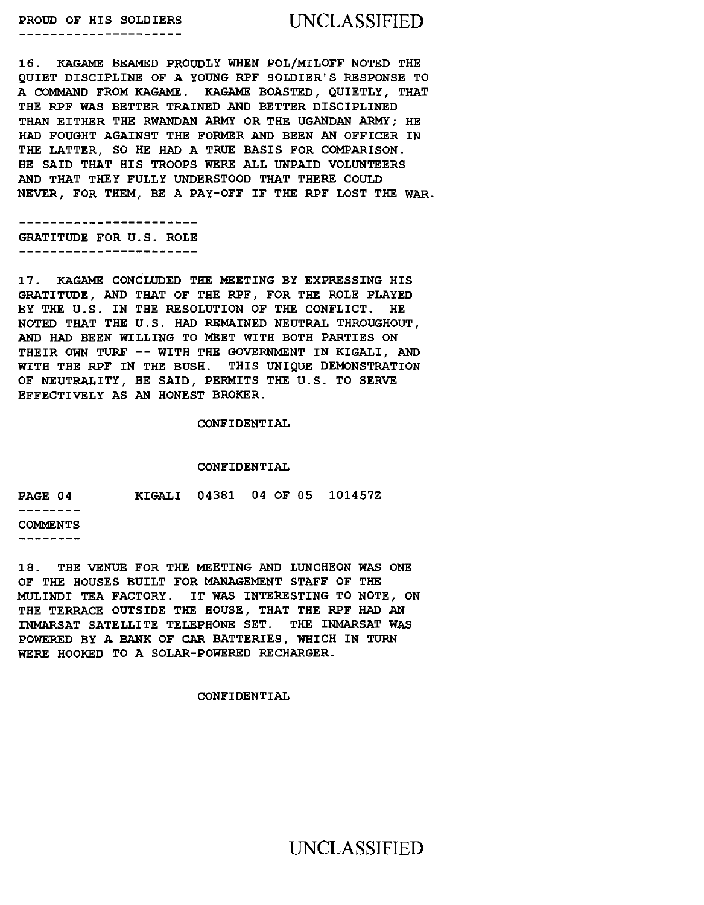# PROUD OF HIS SOLDIERS UNCLASSIFIED

16. KAGAME BEAMED PROUDLY WHEN POL/MILOFF NOTED THE QUIET DISCIPLINE OF A YOUNG RPF SOLDIER'S RESPONSE TO A COMMAND FROM KAGAME. KAGAME BOASTED, QUIETLY, THAT THE RPF WAS BETTER TRAINED AND BETTER DISCIPLINED THAN EITHER THE RWANDAN ARMY OR THE UGANDAN ARMY; HE HAD FOUGHT AGAINST THE FORMER AND BEEN AN OFFICER IN THE LATTER, SO HE HAD A TRUE BASIS FOR COMPARISON. HE SAID THAT HIS TROOPS WERE ALL UNPAID VOLUNTEERS AND THAT THEY FULLY UNDERSTOOD THAT THERE COULD NEVER, FOR THEM, BE A PAY-OFF IF THE RPF LOST THE WAR.

------------------------GRATITUDE FOR U.S. ROLE ------------------------

17. KAGAME CONCLUDED THE MEETING BY EXPRESSING HIS GRATITUDE, AND THAT OF THE RPF, FOR THE ROLE PLAYED BY THE U.S. IN THE RESOLUTION OF THE CONFLICT. HE NOTED THAT THE U.S. HAD REMAINED NEUTRAL THROUGHOUT, AND HAD BEEN WILLING TO MEET WITH BOTH PARTIES ON THEIR OWN TURF -- WITH THE GOVERNMENT IN KIGALI, AND WITH THE RPF IN THE BUSH. THIS UNIQUE DEMONSTRATION OF NEUTRALITY, HE SAID, PERMITS THE U.S. TO SERVE EFFECTIVELY AS AN HONEST BROKER.

CONFIDENTIAL

### CONFIDENTIAL

|  | KIGALI 04381 04 OF 05 1014572 |
|--|-------------------------------|

18. THE VENUE FOR THE MEETING AND LUNCHEON WAS ONE OF THE HOUSES BUILT FOR MANAGEMENT STAFF OF THE MULINDI TEA FACTORY. IT WAS INTERESTING TO NOTE, ON THE TERRACE OUTSIDE THE HOUSE, THAT THE RPF HAD AN INMARSAT SATELLITE TELEPHONE SET. THE INMARSAT WAS POWERED BY A BANK OF CAR BATTERIES, WHICH IN TURN WERE HOOKED TO A SOLAR-POWERED RECHARGER.

CONFIDENTIAL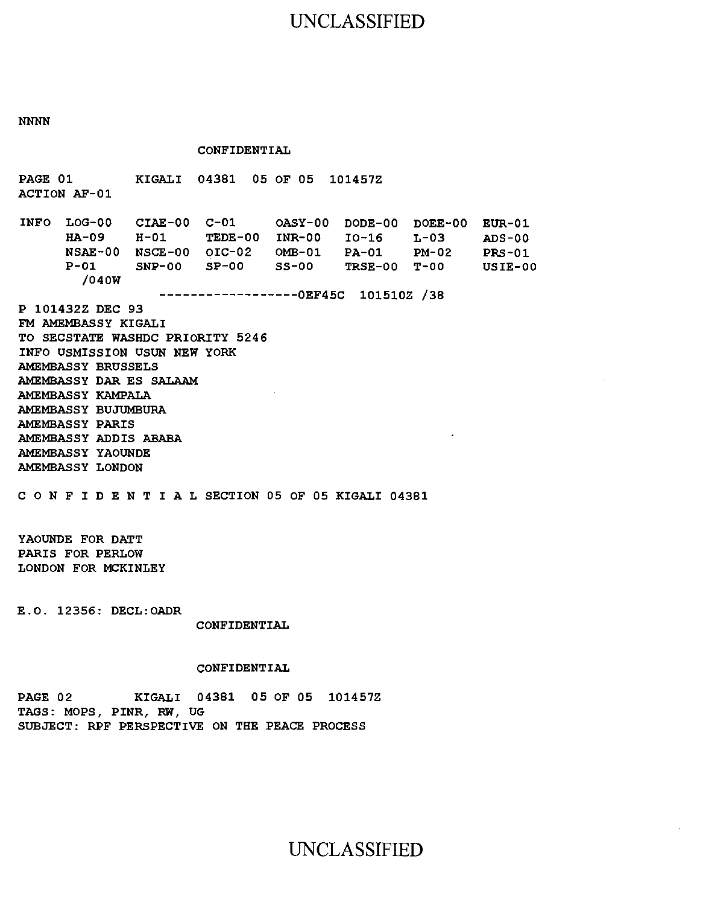## UNCLASSIFIED

NNNN

CONFIDENTIAL

PAGE 01 KIGALI 04381 05 OF 05 101457Z ACTION AF-01 INFO LOG-00 CIAE-00 C-01 OASY-00 DODE-00 DOEE-00 EUR-01 HA-09 H-01 TEDE-00 INR-00 I0-16 L-03 NSAE-00 NSCE-00 OIC-02 OMB-01 PA-01 P-Ol /040W NSCE-00 OIC-02 OMB-01 PA-01 PM-02 SNP-00 SP-00 SS-00 TRSE-00 T-OO ------------------OEF45C 101510Z /38 P 101432Z DEC 93 FM AMEMBASSY KIGALI TO SECSTATE WASHDC PRIORITY 5246 INFO USMISSION USUN NEW YORK AMEMBASSY BRUSSELS AMEMBASSY DAR ES SALAAM AMEMBASSY KAMPALA AMEMBASSY BUJUMBURA AMEMBASSY PARIS AMEMBASSY ADDIS ABABA AMEMBASSY YAOUNDE AMEMBASSY LONDON C 0 N F I D E N T I A L SECTION 05 OF 05 KIGALI 04381 YAOUNDE FOR DATT PARIS FOR PERLOW LONDON FOR MCKINLEY ADS-00 PRS-01 USIE-00

E.O. 12356: DECL:OADR

CONFIDENTIAL

### CONFIDENTIAL

PAGE 02 KIGALI 04381 05 OF 05 101457Z TAGS: MOPS, PINR, RW, UG SUBJECT: RPF PERSPECTIVE ON THE PEACE PROCESS